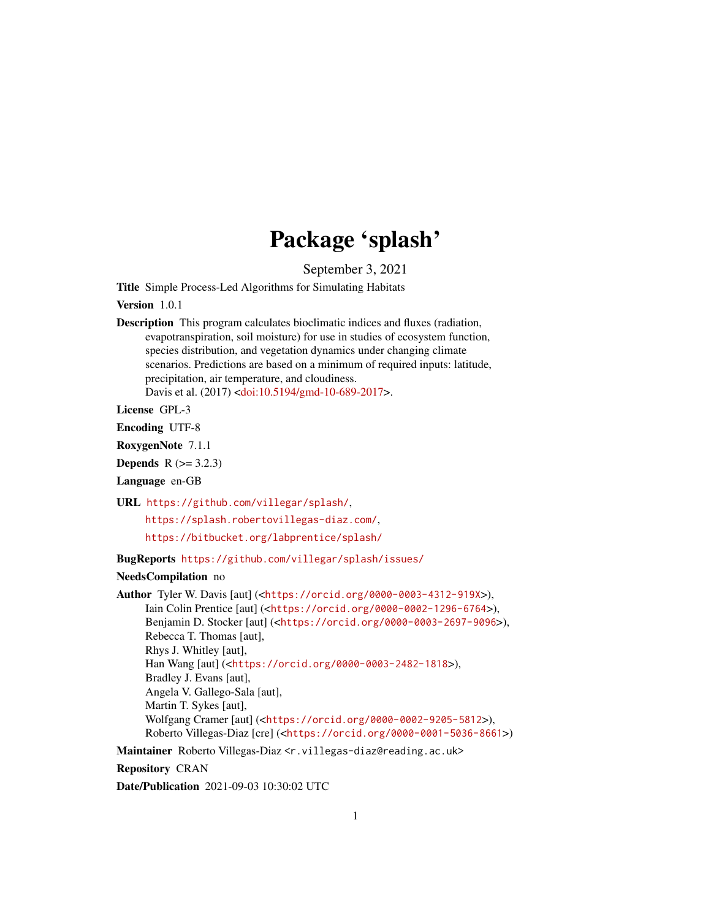# Package 'splash'

September 3, 2021

Title Simple Process-Led Algorithms for Simulating Habitats

Version 1.0.1

Description This program calculates bioclimatic indices and fluxes (radiation, evapotranspiration, soil moisture) for use in studies of ecosystem function, species distribution, and vegetation dynamics under changing climate scenarios. Predictions are based on a minimum of required inputs: latitude, precipitation, air temperature, and cloudiness. Davis et al. (2017) [<doi:10.5194/gmd-10-689-2017>](https://doi.org/10.5194/gmd-10-689-2017).

License GPL-3

Encoding UTF-8

RoxygenNote 7.1.1

**Depends**  $R (= 3.2.3)$ 

Language en-GB

URL <https://github.com/villegar/splash/>,

<https://splash.robertovillegas-diaz.com/>,

<https://bitbucket.org/labprentice/splash/>

BugReports <https://github.com/villegar/splash/issues/>

#### NeedsCompilation no

Author Tyler W. Davis [aut] (<<https://orcid.org/0000-0003-4312-919X>>), Iain Colin Prentice [aut] (<<https://orcid.org/0000-0002-1296-6764>>), Benjamin D. Stocker [aut] (<<https://orcid.org/0000-0003-2697-9096>>), Rebecca T. Thomas [aut], Rhys J. Whitley [aut], Han Wang [aut] (<<https://orcid.org/0000-0003-2482-1818>>), Bradley J. Evans [aut], Angela V. Gallego-Sala [aut], Martin T. Sykes [aut], Wolfgang Cramer [aut] (<<https://orcid.org/0000-0002-9205-5812>>), Roberto Villegas-Diaz [cre] (<<https://orcid.org/0000-0001-5036-8661>>)

Maintainer Roberto Villegas-Diaz <r.villegas-diaz@reading.ac.uk>

Repository CRAN

Date/Publication 2021-09-03 10:30:02 UTC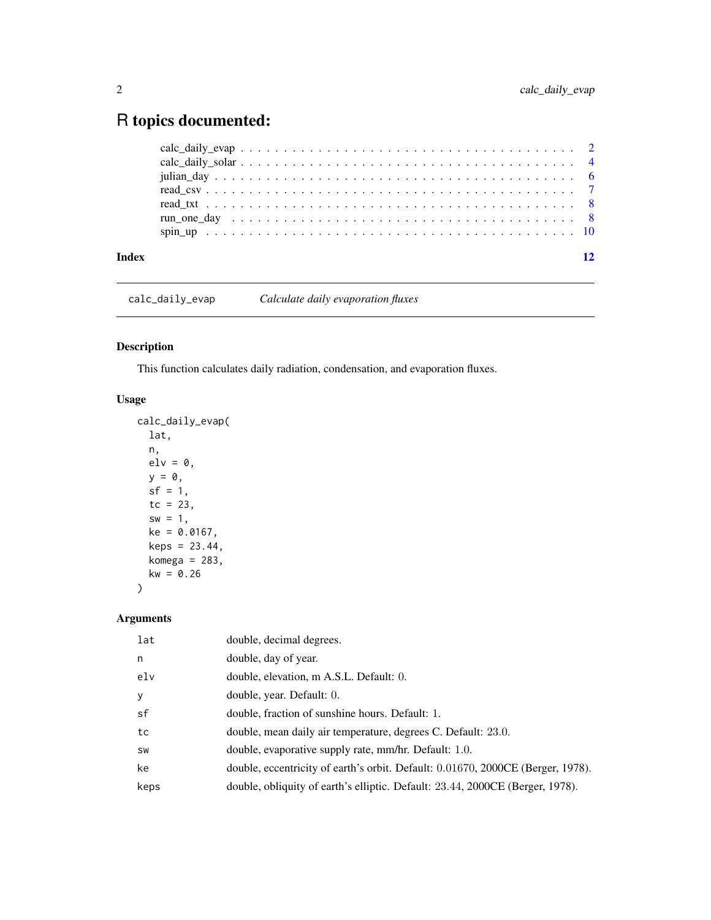## <span id="page-1-0"></span>R topics documented:

| Index | 12 |
|-------|----|
|       |    |
|       |    |
|       |    |
|       |    |
|       |    |
|       |    |
|       |    |

calc\_daily\_evap *Calculate daily evaporation fluxes*

#### Description

This function calculates daily radiation, condensation, and evaporation fluxes.

#### Usage

```
calc_daily_evap(
  lat,
  n,
  elv = 0,
  y = 0,
  sf = 1,tc = 23,sw = 1,
  ke = 0.0167,
  keps = 23.44,komega = 283,
  kw = 0.26\overline{\phantom{a}}
```
#### Arguments

| lat  | double, decimal degrees.                                                        |
|------|---------------------------------------------------------------------------------|
| n    | double, day of year.                                                            |
| elv  | double, elevation, m A.S.L. Default: 0.                                         |
| y    | double, year. Default: 0.                                                       |
| sf   | double, fraction of sunshine hours. Default: 1.                                 |
| tc   | double, mean daily air temperature, degrees C. Default: 23.0.                   |
| SW   | double, evaporative supply rate, mm/hr. Default: 1.0.                           |
| ke   | double, eccentricity of earth's orbit. Default: 0.01670, 2000CE (Berger, 1978). |
| keps | double, obliquity of earth's elliptic. Default: 23.44, 2000CE (Berger, 1978).   |
|      |                                                                                 |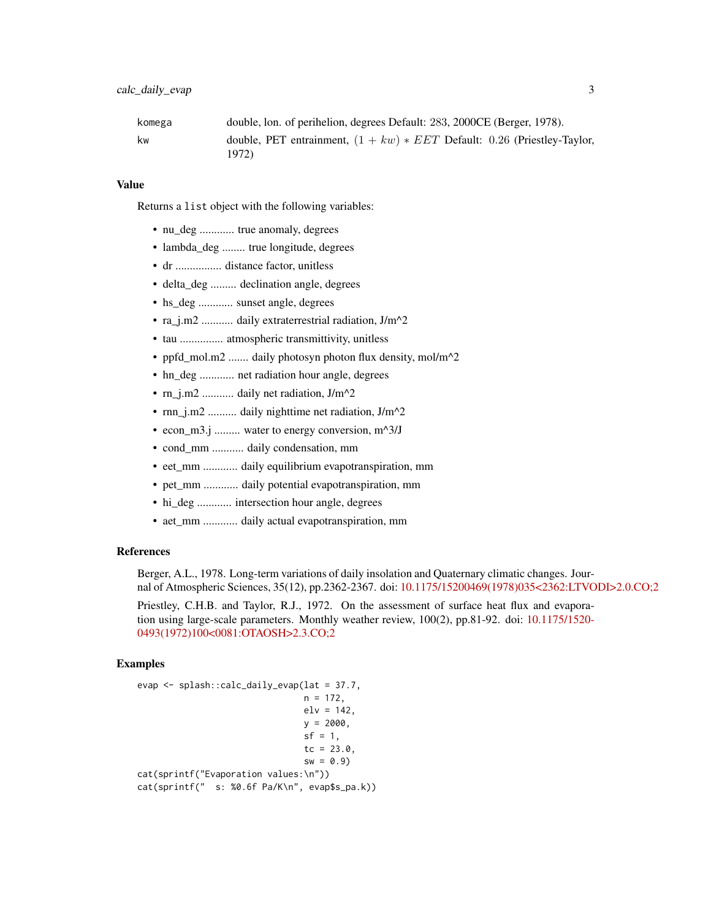| komega | double, lon. of perihelion, degrees Default: 283, 2000CE (Berger, 1978).            |
|--------|-------------------------------------------------------------------------------------|
| kw     | double, PET entrainment, $(1 + kw) * EET$ Default: 0.26 (Priestley-Taylor,<br>1972) |

#### Value

Returns a list object with the following variables:

- nu\_deg ............ true anomaly, degrees
- lambda\_deg ........ true longitude, degrees
- dr ................ distance factor, unitless
- delta deg ......... declination angle, degrees
- hs\_deg ............ sunset angle, degrees
- ra\_j.m2 ............ daily extraterrestrial radiation, J/m^2
- tau ............... atmospheric transmittivity, unitless
- ppfd\_mol.m2 ....... daily photosyn photon flux density, mol/m^2
- hn\_deg ............ net radiation hour angle, degrees
- rn\_j.m2 ........... daily net radiation, J/m^2
- rnn\_j.m2 .......... daily nighttime net radiation, J/m^2
- econ\_m3.j ......... water to energy conversion, m^3/J
- cond\_mm ........... daily condensation, mm
- eet\_mm ............ daily equilibrium evapotranspiration, mm
- pet\_mm ............ daily potential evapotranspiration, mm
- hi\_deg ............ intersection hour angle, degrees
- aet\_mm ............ daily actual evapotranspiration, mm

#### References

Berger, A.L., 1978. Long-term variations of daily insolation and Quaternary climatic changes. Journal of Atmospheric Sciences, 35(12), pp.2362-2367. doi: [10.1175/15200469\(1978\)035<2362:LTVODI>2.0.CO;2](https://doi.org/10.1175/1520-0469(1978)035<2362:LTVODI>2.0.CO;2)

Priestley, C.H.B. and Taylor, R.J., 1972. On the assessment of surface heat flux and evaporation using large-scale parameters. Monthly weather review, 100(2), pp.81-92. doi: [10.1175/1520-](https://doi.org/10.1175/1520-0493(1972)100<0081:OTAOSH>2.3.CO;2) [0493\(1972\)100<0081:OTAOSH>2.3.CO;2](https://doi.org/10.1175/1520-0493(1972)100<0081:OTAOSH>2.3.CO;2)

#### Examples

```
evap <- splash::calc_daily_evap(lat = 37.7,
                               n = 172,
                               elv = 142,
                               y = 2000,
                               sf = 1,tc = 23.0,
                                sw = 0.9cat(sprintf("Evaporation values:\n"))
cat(sprintf(" s: %0.6f Pa/K\n", evap$s_pa.k))
```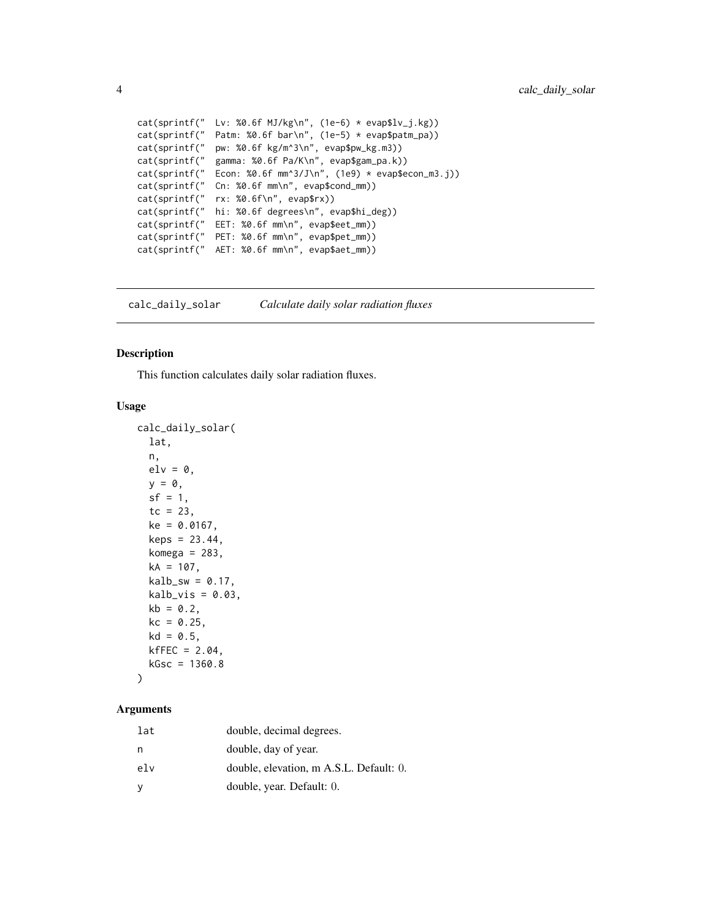```
cat(sprintf(" Lv: %0.6f MJ/kg\n', (1e-6) * evap$lv_j.kg))cat(sprintf(" Patm: %0.6f bar\n", (1e-5) * evap$patm_pa))
cat(sprintf(" pw: %0.6f kg/m^3\n", evap$pw_kg.m3))
cat(sprintf(" gamma: %0.6f Pa/K\n", evap$gam_pa.k))
cat(sprint("Econ: %0.6f mm^3/J\n", (1e9) * evap$econ_m3.j))cat(sprintf(" Cn: %0.6f mm\n", evap$cond_mm))
cat(sprintf(" rx: %0.6f\n", evap$rx))
cat(sprintf(" hi: %0.6f degrees\n", evap$hi_deg))
cat(sprintf(" EET: %0.6f mm\n", evap$eet_mm))
cat(sprintf(" PET: %0.6f mm\n", evap$pet_mm))
cat(sprintf(" AET: %0.6f mm\n", evap$aet_mm))
```
calc\_daily\_solar *Calculate daily solar radiation fluxes*

#### Description

This function calculates daily solar radiation fluxes.

#### Usage

```
calc_daily_solar(
  lat,
  n,
  elv = 0.
 y = 0,
  sf = 1,tc = 23,ke = 0.0167,
  keps = 23.44,
  komega = 283,
  kA = 107,
  kalb_sw = 0.17,
  kalb_vis = 0.03,
 kb = 0.2,
  kc = 0.25,
  kd = 0.5,
  kfFEC = 2.04,
  kGsc = 1360.8)
```
### Arguments

| lat | double, decimal degrees.                |
|-----|-----------------------------------------|
| n   | double, day of year.                    |
| elv | double, elevation, m A.S.L. Default: 0. |
| у   | double, year. Default: 0.               |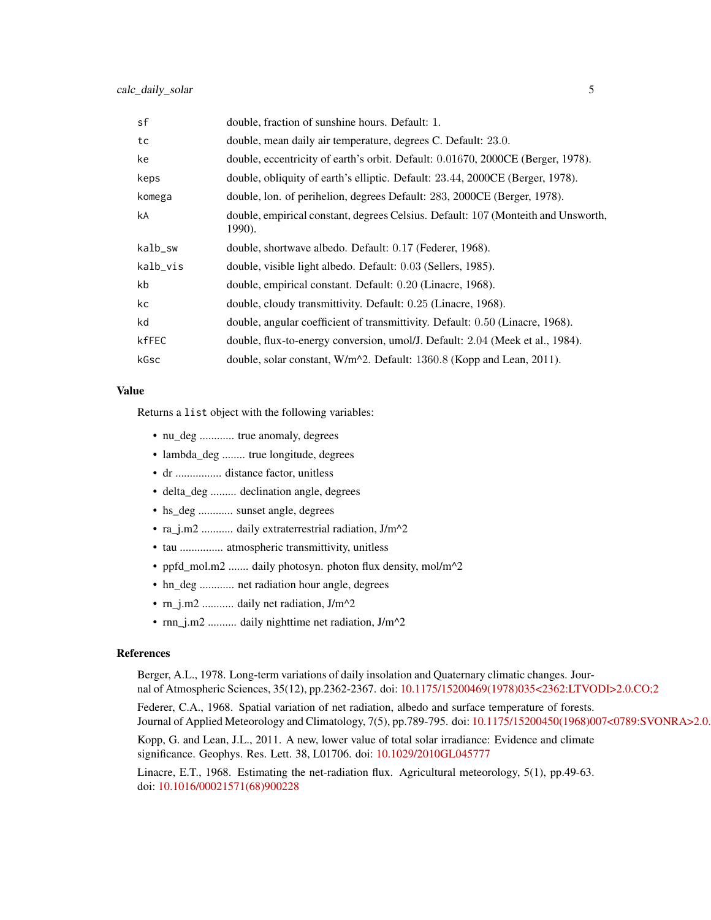| sf       | double, fraction of sunshine hours. Default: 1.                                             |
|----------|---------------------------------------------------------------------------------------------|
| tc       | double, mean daily air temperature, degrees C. Default: 23.0.                               |
| ke       | double, eccentricity of earth's orbit. Default: 0.01670, 2000CE (Berger, 1978).             |
| keps     | double, obliquity of earth's elliptic. Default: 23.44, 2000CE (Berger, 1978).               |
| komega   | double, lon. of perihelion, degrees Default: 283, 2000CE (Berger, 1978).                    |
| kA       | double, empirical constant, degrees Celsius. Default: 107 (Monteith and Unsworth,<br>1990). |
| kalb_sw  | double, shortwave albedo. Default: 0.17 (Federer, 1968).                                    |
| kalb_vis | double, visible light albedo. Default: 0.03 (Sellers, 1985).                                |
| kb       | double, empirical constant. Default: 0.20 (Linacre, 1968).                                  |
| kc       | double, cloudy transmittivity. Default: 0.25 (Linacre, 1968).                               |
| kd       | double, angular coefficient of transmittivity. Default: 0.50 (Linacre, 1968).               |
| kfFEC    | double, flux-to-energy conversion, umol/J. Default: 2.04 (Meek et al., 1984).               |
| kGsc     | double, solar constant, W/m^2. Default: 1360.8 (Kopp and Lean, 2011).                       |

#### Value

Returns a list object with the following variables:

- nu\_deg ............ true anomaly, degrees
- lambda\_deg ........ true longitude, degrees
- dr ................ distance factor, unitless
- delta\_deg ......... declination angle, degrees
- hs\_deg ............ sunset angle, degrees
- ra\_j.m2 ........... daily extraterrestrial radiation, J/m^2
- tau ............... atmospheric transmittivity, unitless
- ppfd\_mol.m2 ....... daily photosyn. photon flux density, mol/m<sup>^2</sup>
- hn\_deg ............ net radiation hour angle, degrees
- rn\_j.m2 ........... daily net radiation, J/m^2
- rnn\_j.m2 .......... daily nighttime net radiation, J/m^2

#### References

Berger, A.L., 1978. Long-term variations of daily insolation and Quaternary climatic changes. Journal of Atmospheric Sciences, 35(12), pp.2362-2367. doi: [10.1175/15200469\(1978\)035<2362:LTVODI>2.0.CO;2](https://doi.org/10.1175/1520-0469(1978)035<2362:LTVODI>2.0.CO;2)

Federer, C.A., 1968. Spatial variation of net radiation, albedo and surface temperature of forests. Journal of Applied Meteorology and Climatology, 7(5), pp.789-795. doi: 10.1175/15200450(1968)007<0789:SVONRA>2.0.

Kopp, G. and Lean, J.L., 2011. A new, lower value of total solar irradiance: Evidence and climate significance. Geophys. Res. Lett. 38, L01706. doi: [10.1029/2010GL045777](https://doi.org/10.1029/2010GL045777)

Linacre, E.T., 1968. Estimating the net-radiation flux. Agricultural meteorology, 5(1), pp.49-63. doi: [10.1016/00021571\(68\)900228](https://doi.org/10.1016/0002-1571(68)90022-8)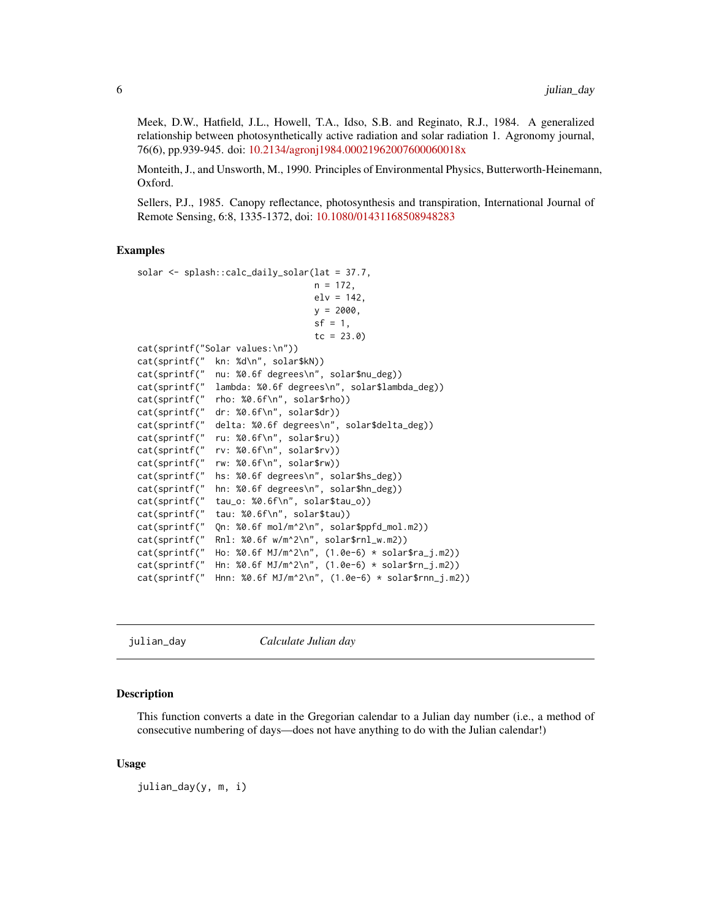<span id="page-5-0"></span>Meek, D.W., Hatfield, J.L., Howell, T.A., Idso, S.B. and Reginato, R.J., 1984. A generalized relationship between photosynthetically active radiation and solar radiation 1. Agronomy journal, 76(6), pp.939-945. doi: [10.2134/agronj1984.00021962007600060018x](https://doi.org/10.2134/agronj1984.00021962007600060018x)

Monteith, J., and Unsworth, M., 1990. Principles of Environmental Physics, Butterworth-Heinemann, Oxford.

Sellers, P.J., 1985. Canopy reflectance, photosynthesis and transpiration, International Journal of Remote Sensing, 6:8, 1335-1372, doi: [10.1080/01431168508948283](https://doi.org/10.1080/01431168508948283)

#### Examples

```
solar <- splash::calc_daily_solar(lat = 37.7,
                                   n = 172,
                                   elv = 142,
                                   y = 2000,
                                   sf = 1,tc = 23.0cat(sprintf("Solar values:\n"))
cat(sprintf(" kn: %d\n", solar$kN))<br>cat(sprintf(" nu: %0.6f degrees\n",
              nu: %0.6f degrees\n", solar$nu_deg))
cat(sprintf(" lambda: %0.6f degrees\n", solar$lambda_deg))
cat(sprintf(" rho: %0.6f\n", solar$rho))
cat(sprintf(" dr: %0.6f\n", solar$dr))
cat(sprintf(" delta: %0.6f degrees\n", solar$delta_deg))
cat(sprintf(" ru: %0.6f\n", solar$ru))
cat(sprintf(" rv: %0.6f\n", solar$rv))
cat(sprintf(" rw: %0.6f\n", solar$rw))
cat(sprintf(" hs: %0.6f degrees\n", solar$hs_deg))
cat(sprintf(" hn: %0.6f degrees\n", solar$hn_deg))
cat(sprintf(" tau_o: %0.6f\n", solar$tau_o))
cat(sprintf(" tau: %0.6f\n", solar$tau))
cat(sprintf(" Qn: %0.6f mol/m^2\n", solar$ppfd_mol.m2))
cat(sprintf(" Rnl: %0.6f w/m^2\n", solar$rnl_w.m2))
cat(sprintf(" Ho: %0.6f MJ/m^2\n", (1.0e-6) * solar$ra_j.m2))
cat(sprintf(" Hn: %0.6f MJ/m^2\n", (1.0e-6) * solar$rn_j.m2))
cat(sprintf(" Hnn: %0.6f MJ/m^2\n", (1.0e-6) * solar$rnn_j.m2))
```
julian\_day *Calculate Julian day*

#### **Description**

This function converts a date in the Gregorian calendar to a Julian day number (i.e., a method of consecutive numbering of days—does not have anything to do with the Julian calendar!)

#### Usage

julian\_day(y, m, i)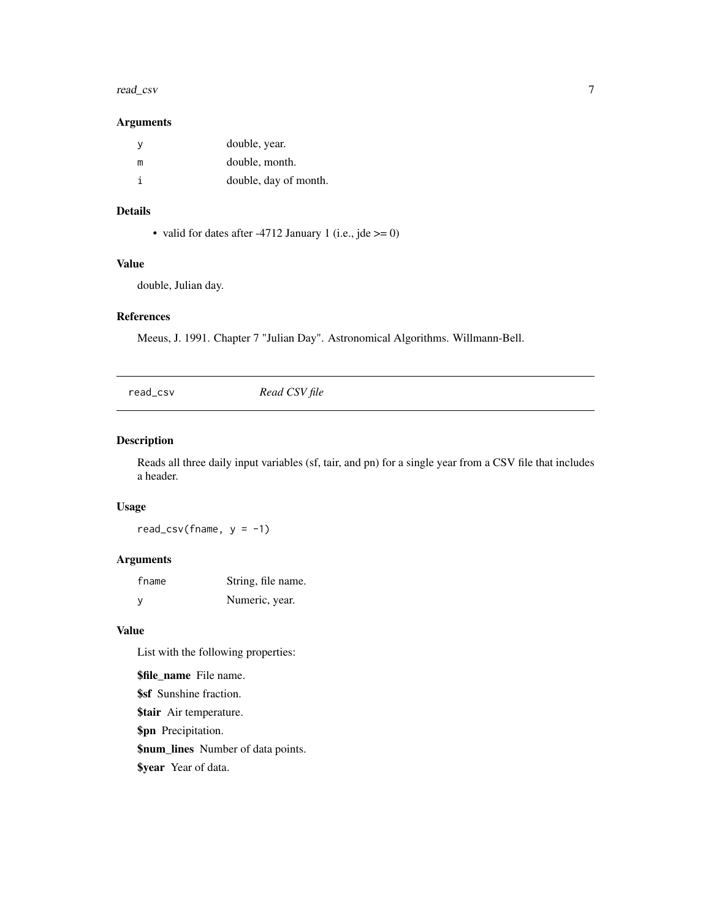#### <span id="page-6-0"></span>read\_csv 7

#### Arguments

| v | double, year.         |
|---|-----------------------|
| m | double, month.        |
| i | double, day of month. |

#### Details

• valid for dates after -4712 January 1 (i.e., jde  $\ge$  = 0)

#### Value

double, Julian day.

#### References

Meeus, J. 1991. Chapter 7 "Julian Day". Astronomical Algorithms. Willmann-Bell.

<span id="page-6-1"></span>read\_csv *Read CSV file*

#### Description

Reads all three daily input variables (sf, tair, and pn) for a single year from a CSV file that includes a header.

#### Usage

read\_csv(fname,  $y = -1$ )

#### Arguments

| fname        | String, file name. |
|--------------|--------------------|
| $\mathsf{v}$ | Numeric, year.     |

#### Value

List with the following properties:

\$file\_name File name. \$sf Sunshine fraction. \$tair Air temperature. \$pn Precipitation. \$num\_lines Number of data points. \$year Year of data.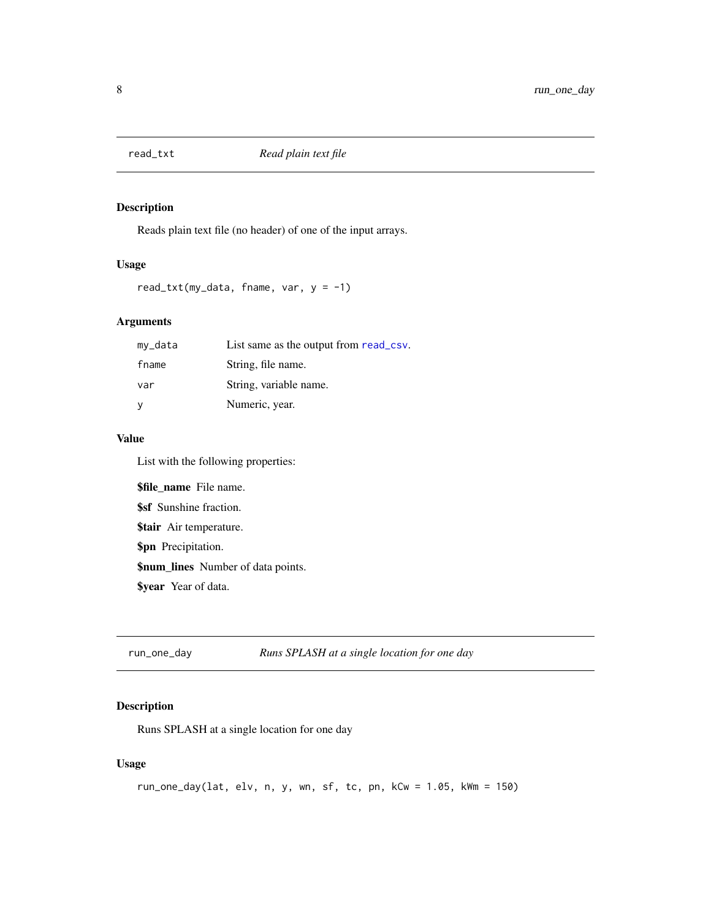<span id="page-7-0"></span>

#### Description

Reads plain text file (no header) of one of the input arrays.

#### Usage

```
read_txt(my_data, fname, var, y = -1)
```
#### Arguments

| my_data  | List same as the output from read_csv. |
|----------|----------------------------------------|
| fname    | String, file name.                     |
| var      | String, variable name.                 |
| <b>V</b> | Numeric, year.                         |

#### Value

List with the following properties:

\$file\_name File name. \$sf Sunshine fraction. \$tair Air temperature. \$pn Precipitation. \$num\_lines Number of data points. \$year Year of data.

run\_one\_day *Runs SPLASH at a single location for one day*

#### Description

Runs SPLASH at a single location for one day

### Usage

```
run_one_day(lat, elv, n, y, wn, sf, tc, pn, kCw = 1.05, kWm = 150)
```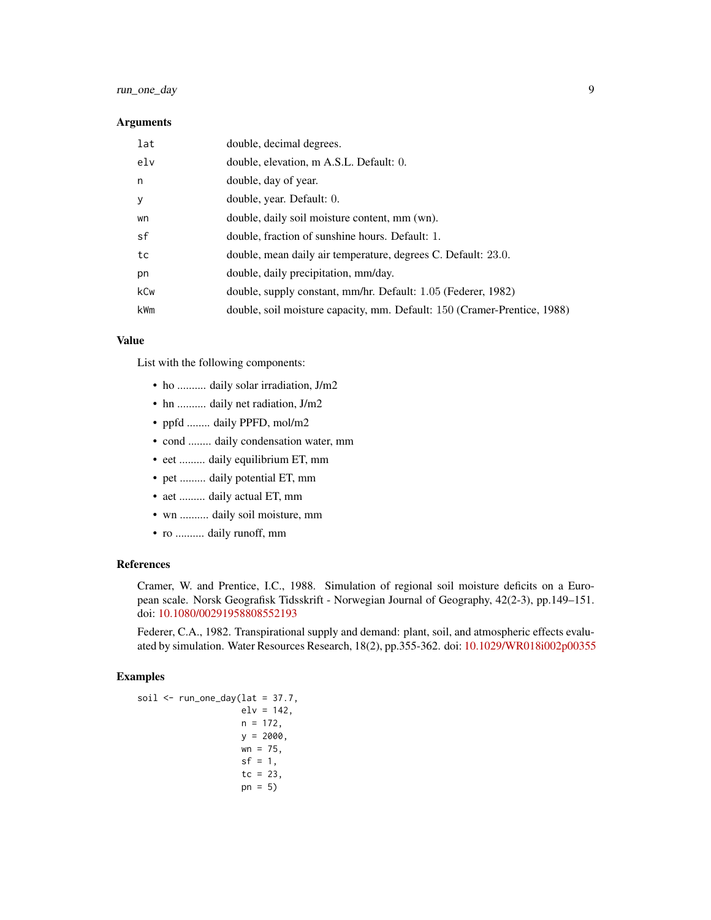#### run\_one\_day 9

#### **Arguments**

| lat             | double, decimal degrees.                                                 |
|-----------------|--------------------------------------------------------------------------|
| e <sub>1v</sub> | double, elevation, m A.S.L. Default: 0.                                  |
| n               | double, day of year.                                                     |
| У               | double, year. Default: 0.                                                |
| wn              | double, daily soil moisture content, mm (wn).                            |
| sf              | double, fraction of sunshine hours. Default: 1.                          |
| tc              | double, mean daily air temperature, degrees C. Default: 23.0.            |
| pn              | double, daily precipitation, mm/day.                                     |
| kCw             | double, supply constant, mm/hr. Default: 1.05 (Federer, 1982)            |
| kWm             | double, soil moisture capacity, mm. Default: 150 (Cramer-Prentice, 1988) |

#### Value

List with the following components:

- ho .......... daily solar irradiation, J/m2
- hn .......... daily net radiation, J/m2
- ppfd ........ daily PPFD, mol/m2
- cond ........ daily condensation water, mm
- eet ......... daily equilibrium ET, mm
- pet ......... daily potential ET, mm
- aet ......... daily actual ET, mm
- wn .......... daily soil moisture, mm
- ro .......... daily runoff, mm

#### References

Cramer, W. and Prentice, I.C., 1988. Simulation of regional soil moisture deficits on a European scale. Norsk Geografisk Tidsskrift - Norwegian Journal of Geography, 42(2-3), pp.149–151. doi: [10.1080/00291958808552193](https://doi.org/10.1080/00291958808552193)

Federer, C.A., 1982. Transpirational supply and demand: plant, soil, and atmospheric effects evaluated by simulation. Water Resources Research, 18(2), pp.355-362. doi: [10.1029/WR018i002p00355](https://doi.org/10.1029/WR018i002p00355)

#### Examples

```
soil \le run_one_day(lat = 37.7,
                    elv = 142,
                    n = 172,
                    y = 2000,
                    wn = 75,
                    sf = 1,tc = 23,pn = 5)
```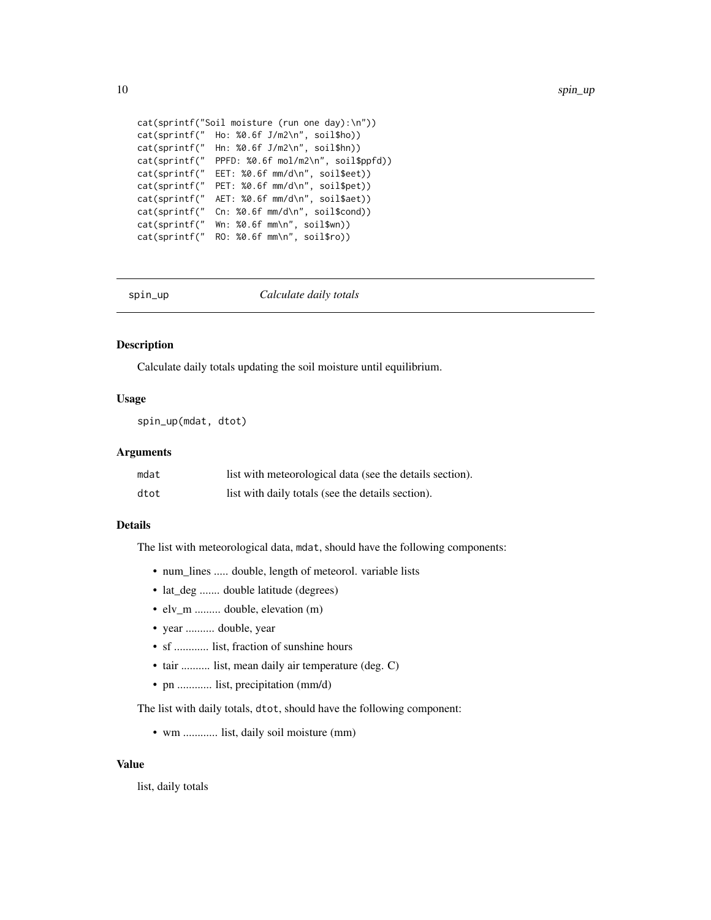```
cat(sprintf("Soil moisture (run one day):\n"))
cat(sprintf(" Ho: %0.6f J/m2\n", soil$ho))
cat(sprintf(" Hn: %0.6f J/m2\n", soil$hn))
cat(sprintf(" PPFD: %0.6f mol/m2\n", soil$ppfd))
cat(sprintf(" EET: %0.6f mm/d\n", soil$eet))
cat(sprintf(" PET: %0.6f mm/d\n", soil$pet))
cat(sprintf(" AET: %0.6f mm/d\n", soil$aet))
cat(sprintf(" Cn: %0.6f mm/d\n", soil$cond))
cat(sprintf(" Wn: %0.6f mm\n", soil$wn))
cat(sprintf(" RO: %0.6f mm\n", soil$ro))
```
spin\_up *Calculate daily totals*

#### Description

Calculate daily totals updating the soil moisture until equilibrium.

#### Usage

spin\_up(mdat, dtot)

#### Arguments

| mdat | list with meteorological data (see the details section). |
|------|----------------------------------------------------------|
| dtot | list with daily totals (see the details section).        |

#### Details

The list with meteorological data, mdat, should have the following components:

- num\_lines ..... double, length of meteorol. variable lists
- lat\_deg ....... double latitude (degrees)
- elv\_m ......... double, elevation (m)
- year .......... double, year
- sf ............ list, fraction of sunshine hours
- tair .......... list, mean daily air temperature (deg. C)
- pn ............ list, precipitation (mm/d)

The list with daily totals, dtot, should have the following component:

• wm ............ list, daily soil moisture (mm)

#### Value

list, daily totals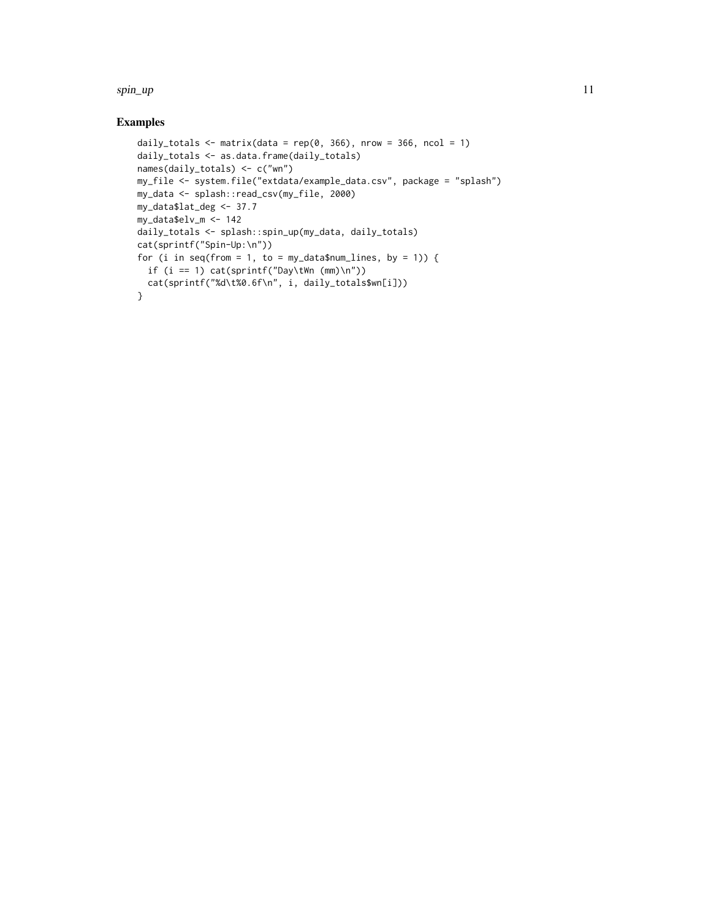#### spin\_up 11

#### Examples

```
daily_totals <- matrix(data = rep(0, 366), nrow = 366, ncol = 1)
daily_totals <- as.data.frame(daily_totals)
names(daily_totals) <- c("wn")
my_file <- system.file("extdata/example_data.csv", package = "splash")
my_data <- splash::read_csv(my_file, 2000)
my_data$lat_deg <- 37.7
my_data$elv_m <- 142
daily_totals <- splash::spin_up(my_data, daily_totals)
cat(sprintf("Spin-Up:\n"))
for (i in seq(from = 1, to = my_data$num_lines, by = 1)) {
 if (i == 1) cat(sprintf("Day\tWn (mm)\n"))
 cat(sprintf("%d\t%0.6f\n", i, daily_totals$wn[i]))
}
```